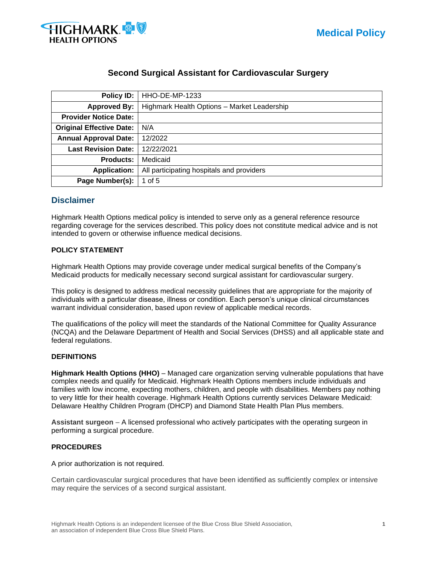

# **Second Surgical Assistant for Cardiovascular Surgery**

| Policy ID:                      | HHO-DE-MP-1233                              |
|---------------------------------|---------------------------------------------|
| <b>Approved By:</b>             | Highmark Health Options - Market Leadership |
| <b>Provider Notice Date:</b>    |                                             |
| <b>Original Effective Date:</b> | N/A                                         |
| <b>Annual Approval Date:</b>    | 12/2022                                     |
| <b>Last Revision Date:</b>      | 12/22/2021                                  |
| <b>Products:</b>                | Medicaid                                    |
| <b>Application:</b>             | All participating hospitals and providers   |
| Page Number(s):                 | 1 of $5$                                    |

# **Disclaimer**

Highmark Health Options medical policy is intended to serve only as a general reference resource regarding coverage for the services described. This policy does not constitute medical advice and is not intended to govern or otherwise influence medical decisions.

#### **POLICY STATEMENT**

Highmark Health Options may provide coverage under medical surgical benefits of the Company's Medicaid products for medically necessary second surgical assistant for cardiovascular surgery.

This policy is designed to address medical necessity guidelines that are appropriate for the majority of individuals with a particular disease, illness or condition. Each person's unique clinical circumstances warrant individual consideration, based upon review of applicable medical records.

The qualifications of the policy will meet the standards of the National Committee for Quality Assurance (NCQA) and the Delaware Department of Health and Social Services (DHSS) and all applicable state and federal regulations.

#### **DEFINITIONS**

**Highmark Health Options (HHO)** – Managed care organization serving vulnerable populations that have complex needs and qualify for Medicaid. Highmark Health Options members include individuals and families with low income, expecting mothers, children, and people with disabilities. Members pay nothing to very little for their health coverage. Highmark Health Options currently services Delaware Medicaid: Delaware Healthy Children Program (DHCP) and Diamond State Health Plan Plus members.

**Assistant surgeon** – A licensed professional who actively participates with the operating surgeon in performing a surgical procedure.

#### **PROCEDURES**

A prior authorization is not required.

Certain cardiovascular surgical procedures that have been identified as sufficiently complex or intensive may require the services of a second surgical assistant.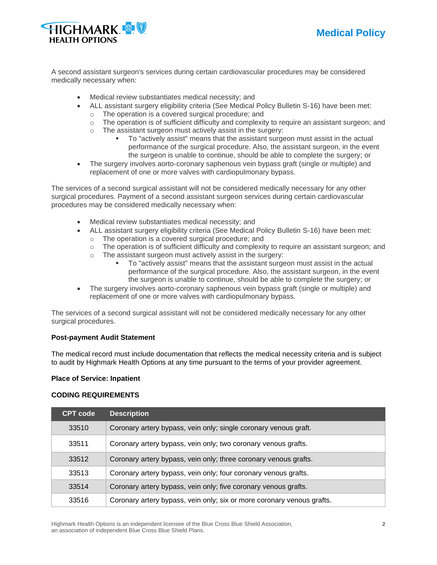

A second assistant surgeon's services during certain cardiovascular procedures may be considered medically necessary when:

- Medical review substantiates medical necessity; and
- ALL assistant surgery eligibility criteria (See Medical Policy Bulletin S-16) have been met:
	- o The operation is a covered surgical procedure; and
	- $\circ$  The operation is of sufficient difficulty and complexity to require an assistant surgeon; and
	- o The assistant surgeon must actively assist in the surgery:
		- To "actively assist" means that the assistant surgeon must assist in the actual performance of the surgical procedure. Also, the assistant surgeon, in the event the surgeon is unable to continue, should be able to complete the surgery; or
- The surgery involves aorto-coronary saphenous vein bypass graft (single or multiple) and replacement of one or more valves with cardiopulmonary bypass.

The services of a second surgical assistant will not be considered medically necessary for any other surgical procedures. Payment of a second assistant surgeon services during certain cardiovascular procedures may be considered medically necessary when:

- Medical review substantiates medical necessity; and
- ALL assistant surgery eligibility criteria (See Medical Policy Bulletin S-16) have been met:
	- o The operation is a covered surgical procedure; and
	- $\circ$  The operation is of sufficient difficulty and complexity to require an assistant surgeon; and
	- o The assistant surgeon must actively assist in the surgery:
		- To "actively assist" means that the assistant surgeon must assist in the actual performance of the surgical procedure. Also, the assistant surgeon, in the event the surgeon is unable to continue, should be able to complete the surgery; or
- The surgery involves aorto-coronary saphenous vein bypass graft (single or multiple) and replacement of one or more valves with cardiopulmonary bypass.

The services of a second surgical assistant will not be considered medically necessary for any other surgical procedures.

## **Post-payment Audit Statement**

The medical record must include documentation that reflects the medical necessity criteria and is subject to audit by Highmark Health Options at any time pursuant to the terms of your provider agreement.

#### **Place of Service: Inpatient**

#### **CODING REQUIREMENTS**

| <b>CPT code</b> | <b>Description</b>                                                     |
|-----------------|------------------------------------------------------------------------|
| 33510           | Coronary artery bypass, vein only; single coronary venous graft.       |
| 33511           | Coronary artery bypass, vein only; two coronary venous grafts.         |
| 33512           | Coronary artery bypass, vein only; three coronary venous grafts.       |
| 33513           | Coronary artery bypass, vein only; four coronary venous grafts.        |
| 33514           | Coronary artery bypass, vein only; five coronary venous grafts.        |
| 33516           | Coronary artery bypass, vein only; six or more coronary venous grafts. |

Highmark Health Options is an independent licensee of the Blue Cross Blue Shield Association, **2** an association of independent Blue Cross Blue Shield Plans.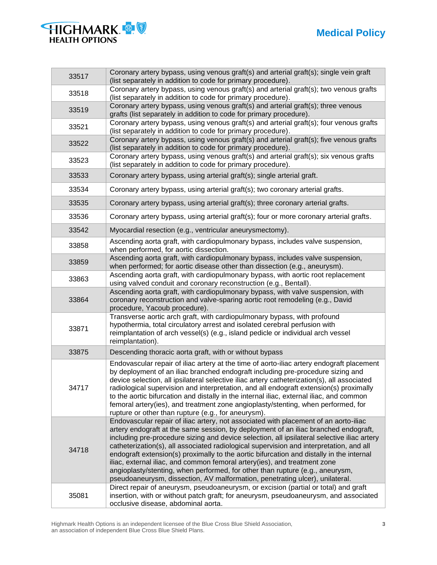

| <b>HIGHMARK &amp; S</b> |  |
|-------------------------|--|
| <b>HEALTH OPTIONS</b>   |  |

| 33517 | Coronary artery bypass, using venous graft(s) and arterial graft(s); single vein graft<br>(list separately in addition to code for primary procedure).                                                                                                                                                                                                                                                                                                                                                                                                                                                                                                                                                          |
|-------|-----------------------------------------------------------------------------------------------------------------------------------------------------------------------------------------------------------------------------------------------------------------------------------------------------------------------------------------------------------------------------------------------------------------------------------------------------------------------------------------------------------------------------------------------------------------------------------------------------------------------------------------------------------------------------------------------------------------|
| 33518 | Coronary artery bypass, using venous graft(s) and arterial graft(s); two venous grafts<br>(list separately in addition to code for primary procedure).                                                                                                                                                                                                                                                                                                                                                                                                                                                                                                                                                          |
| 33519 | Coronary artery bypass, using venous graft(s) and arterial graft(s); three venous<br>grafts (list separately in addition to code for primary procedure).                                                                                                                                                                                                                                                                                                                                                                                                                                                                                                                                                        |
| 33521 | Coronary artery bypass, using venous graft(s) and arterial graft(s); four venous grafts<br>(list separately in addition to code for primary procedure).                                                                                                                                                                                                                                                                                                                                                                                                                                                                                                                                                         |
| 33522 | Coronary artery bypass, using venous graft(s) and arterial graft(s); five venous grafts<br>(list separately in addition to code for primary procedure).                                                                                                                                                                                                                                                                                                                                                                                                                                                                                                                                                         |
| 33523 | Coronary artery bypass, using venous graft(s) and arterial graft(s); six venous grafts<br>(list separately in addition to code for primary procedure).                                                                                                                                                                                                                                                                                                                                                                                                                                                                                                                                                          |
| 33533 | Coronary artery bypass, using arterial graft(s); single arterial graft.                                                                                                                                                                                                                                                                                                                                                                                                                                                                                                                                                                                                                                         |
| 33534 | Coronary artery bypass, using arterial graft(s); two coronary arterial grafts.                                                                                                                                                                                                                                                                                                                                                                                                                                                                                                                                                                                                                                  |
| 33535 | Coronary artery bypass, using arterial graft(s); three coronary arterial grafts.                                                                                                                                                                                                                                                                                                                                                                                                                                                                                                                                                                                                                                |
| 33536 | Coronary artery bypass, using arterial graft(s); four or more coronary arterial grafts.                                                                                                                                                                                                                                                                                                                                                                                                                                                                                                                                                                                                                         |
| 33542 | Myocardial resection (e.g., ventricular aneurysmectomy).                                                                                                                                                                                                                                                                                                                                                                                                                                                                                                                                                                                                                                                        |
| 33858 | Ascending aorta graft, with cardiopulmonary bypass, includes valve suspension,<br>when performed, for aortic dissection.                                                                                                                                                                                                                                                                                                                                                                                                                                                                                                                                                                                        |
| 33859 | Ascending aorta graft, with cardiopulmonary bypass, includes valve suspension,<br>when performed; for aortic disease other than dissection (e.g., aneurysm).                                                                                                                                                                                                                                                                                                                                                                                                                                                                                                                                                    |
| 33863 | Ascending aorta graft, with cardiopulmonary bypass, with aortic root replacement<br>using valved conduit and coronary reconstruction (e.g., Bentall).                                                                                                                                                                                                                                                                                                                                                                                                                                                                                                                                                           |
| 33864 | Ascending aorta graft, with cardiopulmonary bypass, with valve suspension, with<br>coronary reconstruction and valve-sparing aortic root remodeling (e.g., David<br>procedure, Yacoub procedure).                                                                                                                                                                                                                                                                                                                                                                                                                                                                                                               |
| 33871 | Transverse aortic arch graft, with cardiopulmonary bypass, with profound<br>hypothermia, total circulatory arrest and isolated cerebral perfusion with<br>reimplantation of arch vessel(s) (e.g., island pedicle or individual arch vessel<br>reimplantation).                                                                                                                                                                                                                                                                                                                                                                                                                                                  |
| 33875 | Descending thoracic aorta graft, with or without bypass                                                                                                                                                                                                                                                                                                                                                                                                                                                                                                                                                                                                                                                         |
| 34717 | Endovascular repair of iliac artery at the time of aorto-iliac artery endograft placement<br>by deployment of an iliac branched endograft including pre-procedure sizing and<br>device selection, all ipsilateral selective iliac artery catheterization(s), all associated<br>radiological supervision and interpretation, and all endograft extension(s) proximally<br>to the aortic bifurcation and distally in the internal iliac, external iliac, and common<br>femoral artery(ies), and treatment zone angioplasty/stenting, when performed, for<br>rupture or other than rupture (e.g., for aneurysm).                                                                                                   |
| 34718 | Endovascular repair of iliac artery, not associated with placement of an aorto-iliac<br>artery endograft at the same session, by deployment of an iliac branched endograft,<br>including pre-procedure sizing and device selection, all ipsilateral selective iliac artery<br>catheterization(s), all associated radiological supervision and interpretation, and all<br>endograft extension(s) proximally to the aortic bifurcation and distally in the internal<br>iliac, external iliac, and common femoral artery(ies), and treatment zone<br>angioplasty/stenting, when performed, for other than rupture (e.g., aneurysm,<br>pseudoaneurysm, dissection, AV malformation, penetrating ulcer), unilateral. |
| 35081 | Direct repair of aneurysm, pseudoaneurysm, or excision (partial or total) and graft<br>insertion, with or without patch graft; for aneurysm, pseudoaneurysm, and associated<br>occlusive disease, abdominal aorta.                                                                                                                                                                                                                                                                                                                                                                                                                                                                                              |

Highmark Health Options is an independent licensee of the Blue Cross Blue Shield Association, **3** an association of independent Blue Cross Blue Shield Plans.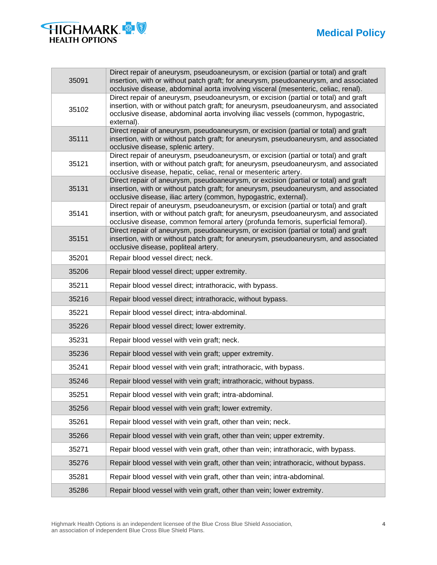# **Medical Policy**



| 35091 | Direct repair of aneurysm, pseudoaneurysm, or excision (partial or total) and graft<br>insertion, with or without patch graft; for aneurysm, pseudoaneurysm, and associated<br>occlusive disease, abdominal aorta involving visceral (mesenteric, celiac, renal).             |
|-------|-------------------------------------------------------------------------------------------------------------------------------------------------------------------------------------------------------------------------------------------------------------------------------|
| 35102 | Direct repair of aneurysm, pseudoaneurysm, or excision (partial or total) and graft<br>insertion, with or without patch graft; for aneurysm, pseudoaneurysm, and associated<br>occlusive disease, abdominal aorta involving iliac vessels (common, hypogastric,<br>external). |
| 35111 | Direct repair of aneurysm, pseudoaneurysm, or excision (partial or total) and graft<br>insertion, with or without patch graft; for aneurysm, pseudoaneurysm, and associated<br>occlusive disease, splenic artery.                                                             |
| 35121 | Direct repair of aneurysm, pseudoaneurysm, or excision (partial or total) and graft<br>insertion, with or without patch graft; for aneurysm, pseudoaneurysm, and associated<br>occlusive disease, hepatic, celiac, renal or mesenteric artery.                                |
| 35131 | Direct repair of aneurysm, pseudoaneurysm, or excision (partial or total) and graft<br>insertion, with or without patch graft; for aneurysm, pseudoaneurysm, and associated<br>occlusive disease, iliac artery (common, hypogastric, external).                               |
| 35141 | Direct repair of aneurysm, pseudoaneurysm, or excision (partial or total) and graft<br>insertion, with or without patch graft; for aneurysm, pseudoaneurysm, and associated<br>occlusive disease, common femoral artery (profunda femoris, superficial femoral).              |
| 35151 | Direct repair of aneurysm, pseudoaneurysm, or excision (partial or total) and graft<br>insertion, with or without patch graft; for aneurysm, pseudoaneurysm, and associated<br>occlusive disease, popliteal artery.                                                           |
| 35201 | Repair blood vessel direct; neck.                                                                                                                                                                                                                                             |
| 35206 | Repair blood vessel direct; upper extremity.                                                                                                                                                                                                                                  |
| 35211 | Repair blood vessel direct; intrathoracic, with bypass.                                                                                                                                                                                                                       |
| 35216 | Repair blood vessel direct; intrathoracic, without bypass.                                                                                                                                                                                                                    |
| 35221 | Repair blood vessel direct; intra-abdominal.                                                                                                                                                                                                                                  |
| 35226 | Repair blood vessel direct; lower extremity.                                                                                                                                                                                                                                  |
| 35231 | Repair blood vessel with vein graft; neck.                                                                                                                                                                                                                                    |
| 35236 | Repair blood vessel with vein graft; upper extremity.                                                                                                                                                                                                                         |
| 35241 | Repair blood vessel with vein graft; intrathoracic, with bypass.                                                                                                                                                                                                              |
| 35246 | Repair blood vessel with vein graft; intrathoracic, without bypass.                                                                                                                                                                                                           |
| 35251 | Repair blood vessel with vein graft; intra-abdominal.                                                                                                                                                                                                                         |
| 35256 | Repair blood vessel with vein graft; lower extremity.                                                                                                                                                                                                                         |
| 35261 | Repair blood vessel with vein graft, other than vein; neck.                                                                                                                                                                                                                   |
| 35266 | Repair blood vessel with vein graft, other than vein; upper extremity.                                                                                                                                                                                                        |
| 35271 | Repair blood vessel with vein graft, other than vein; intrathoracic, with bypass.                                                                                                                                                                                             |
| 35276 | Repair blood vessel with vein graft, other than vein; intrathoracic, without bypass.                                                                                                                                                                                          |
| 35281 | Repair blood vessel with vein graft, other than vein; intra-abdominal.                                                                                                                                                                                                        |
| 35286 | Repair blood vessel with vein graft, other than vein; lower extremity.                                                                                                                                                                                                        |